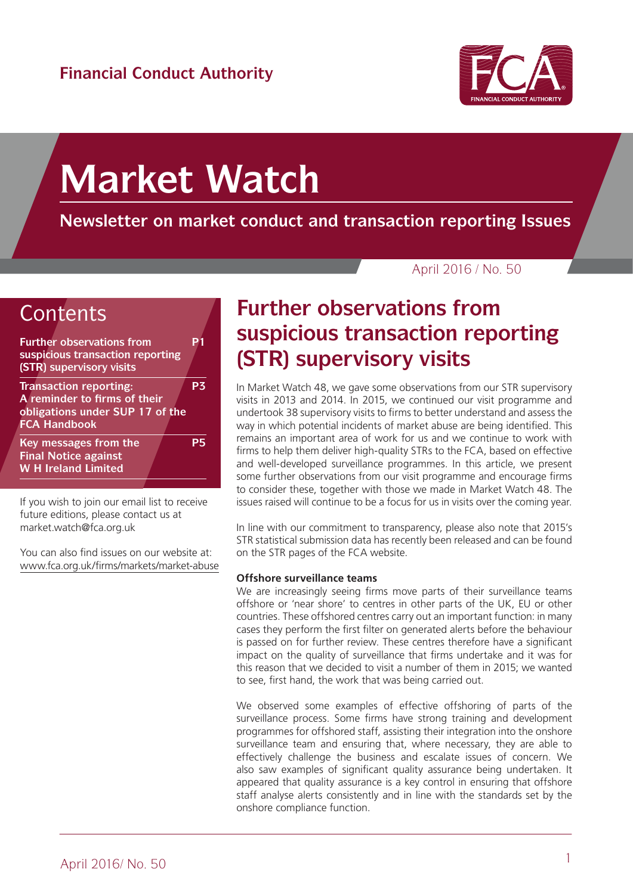

# **Market Watch**

**Newsletter on market conduct and transaction reporting Issues**

April 2016 / No. 50



If you wish to join our email list to receive future editions, please contact us at market.watch@fca.org.uk

You can also find issues on our website at: [www.fca.org.uk/firms/markets/market-abuse](http://www.fca.org.uk/firms/markets/market-abuse)

# **Further observations from suspicious transaction reporting (STR) supervisory visits**

In Market Watch 48, we gave some observations from our STR supervisory visits in 2013 and 2014. In 2015, we continued our visit programme and undertook 38 supervisory visits to firms to better understand and assess the way in which potential incidents of market abuse are being identified. This remains an important area of work for us and we continue to work with firms to help them deliver high-quality STRs to the FCA, based on effective and well-developed surveillance programmes. In this article, we present some further observations from our visit programme and encourage firms to consider these, together with those we made in Market Watch 48. The issues raised will continue to be a focus for us in visits over the coming year.

In line with our commitment to transparency, please also note that 2015's STR statistical submission data has recently been released and can be found on the STR pages of the FCA website.

### **Offshore surveillance teams**

We are increasingly seeing firms move parts of their surveillance teams offshore or 'near shore' to centres in other parts of the UK, EU or other countries. These offshored centres carry out an important function: in many cases they perform the first filter on generated alerts before the behaviour is passed on for further review. These centres therefore have a significant impact on the quality of surveillance that firms undertake and it was for this reason that we decided to visit a number of them in 2015; we wanted to see, first hand, the work that was being carried out.

We observed some examples of effective offshoring of parts of the surveillance process. Some firms have strong training and development programmes for offshored staff, assisting their integration into the onshore surveillance team and ensuring that, where necessary, they are able to effectively challenge the business and escalate issues of concern. We also saw examples of significant quality assurance being undertaken. It appeared that quality assurance is a key control in ensuring that offshore staff analyse alerts consistently and in line with the standards set by the onshore compliance function.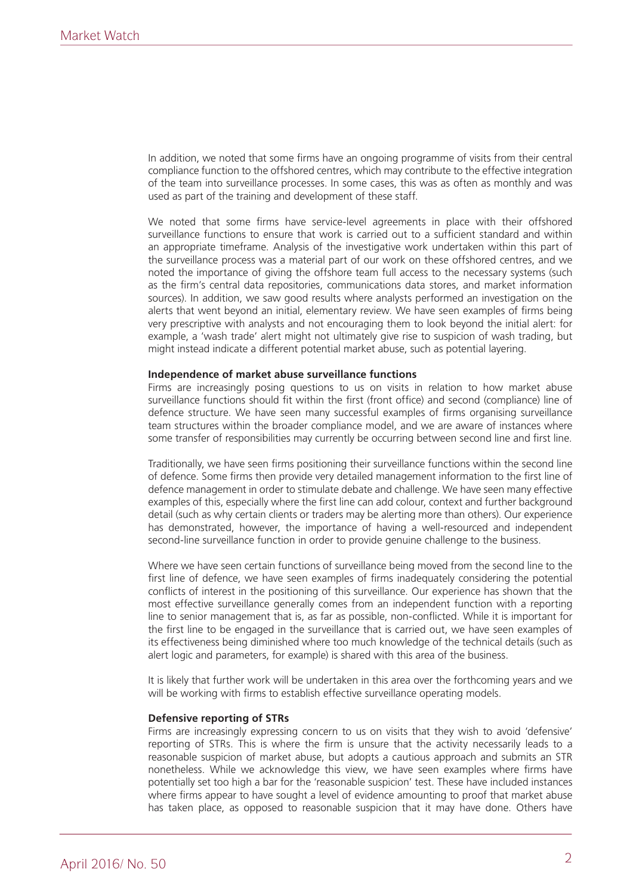In addition, we noted that some firms have an ongoing programme of visits from their central compliance function to the offshored centres, which may contribute to the effective integration of the team into surveillance processes. In some cases, this was as often as monthly and was used as part of the training and development of these staff.

We noted that some firms have service-level agreements in place with their offshored surveillance functions to ensure that work is carried out to a sufficient standard and within an appropriate timeframe. Analysis of the investigative work undertaken within this part of the surveillance process was a material part of our work on these offshored centres, and we noted the importance of giving the offshore team full access to the necessary systems (such as the firm's central data repositories, communications data stores, and market information sources). In addition, we saw good results where analysts performed an investigation on the alerts that went beyond an initial, elementary review. We have seen examples of firms being very prescriptive with analysts and not encouraging them to look beyond the initial alert: for example, a 'wash trade' alert might not ultimately give rise to suspicion of wash trading, but might instead indicate a different potential market abuse, such as potential layering.

### **Independence of market abuse surveillance functions**

Firms are increasingly posing questions to us on visits in relation to how market abuse surveillance functions should fit within the first (front office) and second (compliance) line of defence structure. We have seen many successful examples of firms organising surveillance team structures within the broader compliance model, and we are aware of instances where some transfer of responsibilities may currently be occurring between second line and first line.

Traditionally, we have seen firms positioning their surveillance functions within the second line of defence. Some firms then provide very detailed management information to the first line of defence management in order to stimulate debate and challenge. We have seen many effective examples of this, especially where the first line can add colour, context and further background detail (such as why certain clients or traders may be alerting more than others). Our experience has demonstrated, however, the importance of having a well-resourced and independent second-line surveillance function in order to provide genuine challenge to the business.

Where we have seen certain functions of surveillance being moved from the second line to the first line of defence, we have seen examples of firms inadequately considering the potential conflicts of interest in the positioning of this surveillance. Our experience has shown that the most effective surveillance generally comes from an independent function with a reporting line to senior management that is, as far as possible, non-conflicted. While it is important for the first line to be engaged in the surveillance that is carried out, we have seen examples of its effectiveness being diminished where too much knowledge of the technical details (such as alert logic and parameters, for example) is shared with this area of the business.

It is likely that further work will be undertaken in this area over the forthcoming years and we will be working with firms to establish effective surveillance operating models.

#### **Defensive reporting of STRs**

Firms are increasingly expressing concern to us on visits that they wish to avoid 'defensive' reporting of STRs. This is where the firm is unsure that the activity necessarily leads to a reasonable suspicion of market abuse, but adopts a cautious approach and submits an STR nonetheless. While we acknowledge this view, we have seen examples where firms have potentially set too high a bar for the 'reasonable suspicion' test. These have included instances where firms appear to have sought a level of evidence amounting to proof that market abuse has taken place, as opposed to reasonable suspicion that it may have done. Others have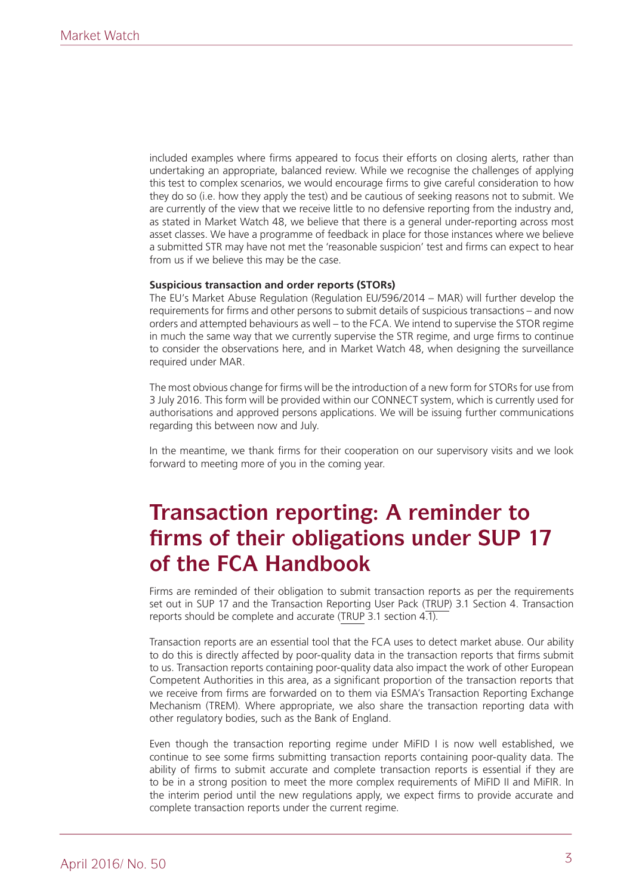included examples where firms appeared to focus their efforts on closing alerts, rather than undertaking an appropriate, balanced review. While we recognise the challenges of applying this test to complex scenarios, we would encourage firms to give careful consideration to how they do so (i.e. how they apply the test) and be cautious of seeking reasons not to submit. We are currently of the view that we receive little to no defensive reporting from the industry and, as stated in Market Watch 48, we believe that there is a general under-reporting across most asset classes. We have a programme of feedback in place for those instances where we believe a submitted STR may have not met the 'reasonable suspicion' test and firms can expect to hear from us if we believe this may be the case.

### **Suspicious transaction and order reports (STORs)**

The EU's Market Abuse Regulation (Regulation EU/596/2014 – MAR) will further develop the requirements for firms and other persons to submit details of suspicious transactions – and now orders and attempted behaviours as well – to the FCA. We intend to supervise the STOR regime in much the same way that we currently supervise the STR regime, and urge firms to continue to consider the observations here, and in Market Watch 48, when designing the surveillance required under MAR.

The most obvious change for firms will be the introduction of a new form for STORs for use from 3 July 2016. This form will be provided within our CONNECT system, which is currently used for authorisations and approved persons applications. We will be issuing further communications regarding this between now and July.

In the meantime, we thank firms for their cooperation on our supervisory visits and we look forward to meeting more of you in the coming year.

## **Transaction reporting: A reminder to firms of their obligations under SUP 17 of the FCA Handbook**

Firms are reminded of their obligation to submit transaction reports as per the requirements set out in SUP 17 and the Transaction Reporting User Pack ([TRUP\)](http://www.fca.org.uk/static/documents/finalised-guidance/fg15-03.pdf) 3.1 Section 4. Transaction reports should be complete and accurate ([TRUP](http://www.fca.org.uk/static/documents/finalised-guidance/fg15-03.pdf) 3.1 section 4.1).

Transaction reports are an essential tool that the FCA uses to detect market abuse. Our ability to do this is directly affected by poor-quality data in the transaction reports that firms submit to us. Transaction reports containing poor-quality data also impact the work of other European Competent Authorities in this area, as a significant proportion of the transaction reports that we receive from firms are forwarded on to them via ESMA's Transaction Reporting Exchange Mechanism (TREM). Where appropriate, we also share the transaction reporting data with other regulatory bodies, such as the Bank of England.

Even though the transaction reporting regime under MiFID I is now well established, we continue to see some firms submitting transaction reports containing poor-quality data. The ability of firms to submit accurate and complete transaction reports is essential if they are to be in a strong position to meet the more complex requirements of MiFID II and MiFIR. In the interim period until the new regulations apply, we expect firms to provide accurate and complete transaction reports under the current regime.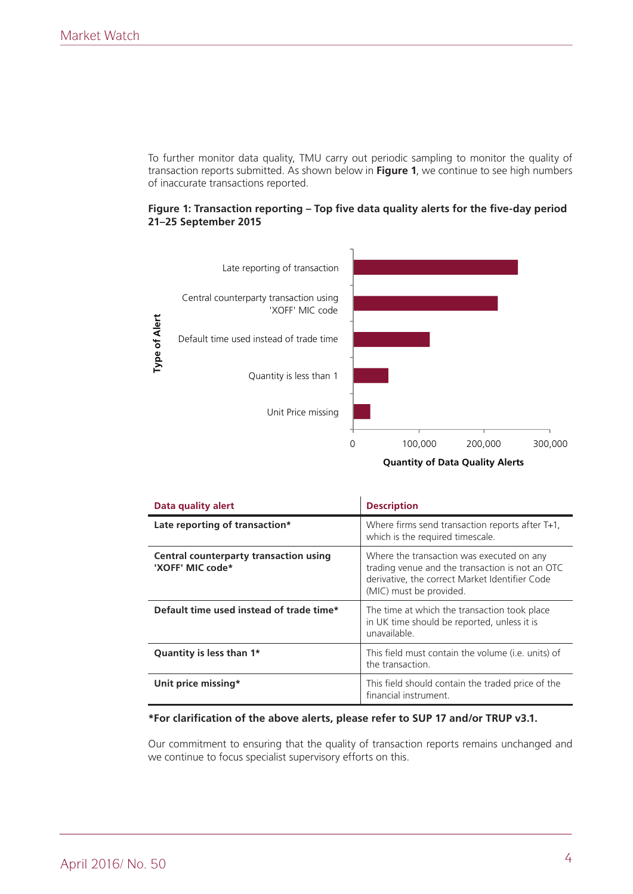To further monitor data quality, TMU carry out periodic sampling to monitor the quality of transaction reports submitted. As shown below in **Figure 1**, we continue to see high numbers of inaccurate transactions reported.





**Quantity of Data Quality Alerts** 

| Data quality alert                                         | <b>Description</b>                                                                                                                                                        |
|------------------------------------------------------------|---------------------------------------------------------------------------------------------------------------------------------------------------------------------------|
| Late reporting of transaction*                             | Where firms send transaction reports after T+1.<br>which is the required timescale.                                                                                       |
| Central counterparty transaction using<br>'XOFF' MIC code* | Where the transaction was executed on any<br>trading venue and the transaction is not an OTC<br>derivative, the correct Market Identifier Code<br>(MIC) must be provided. |
| Default time used instead of trade time*                   | The time at which the transaction took place<br>in UK time should be reported, unless it is<br>unavailable.                                                               |
| Quantity is less than 1*                                   | This field must contain the volume ( <i>i.e.</i> units) of<br>the transaction.                                                                                            |
| Unit price missing*                                        | This field should contain the traded price of the<br>financial instrument.                                                                                                |

### **\*For clarification of the above alerts, please refer to SUP 17 and/or TRUP v3.1.**

Our commitment to ensuring that the quality of transaction reports remains unchanged and we continue to focus specialist supervisory efforts on this.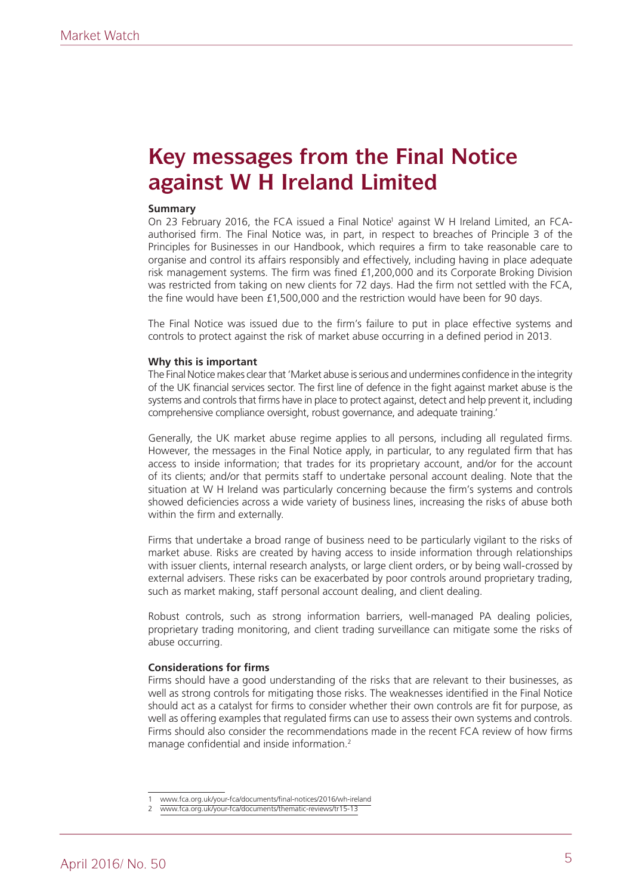### **Key messages from the Final Notice against W H Ireland Limited**

### **Summary**

On 23 February 2016, the FCA issued a Final Notice<sup>1</sup> against W H Ireland Limited, an FCAauthorised firm. The Final Notice was, in part, in respect to breaches of Principle 3 of the Principles for Businesses in our Handbook, which requires a firm to take reasonable care to organise and control its affairs responsibly and effectively, including having in place adequate risk management systems. The firm was fined £1,200,000 and its Corporate Broking Division was restricted from taking on new clients for 72 days. Had the firm not settled with the FCA, the fine would have been £1,500,000 and the restriction would have been for 90 days.

The Final Notice was issued due to the firm's failure to put in place effective systems and controls to protect against the risk of market abuse occurring in a defined period in 2013.

#### **Why this is important**

The Final Notice makes clear that 'Market abuse is serious and undermines confidence in the integrity of the UK financial services sector. The first line of defence in the fight against market abuse is the systems and controls that firms have in place to protect against, detect and help prevent it, including comprehensive compliance oversight, robust governance, and adequate training.'

Generally, the UK market abuse regime applies to all persons, including all regulated firms. However, the messages in the Final Notice apply, in particular, to any regulated firm that has access to inside information; that trades for its proprietary account, and/or for the account of its clients; and/or that permits staff to undertake personal account dealing. Note that the situation at W H Ireland was particularly concerning because the firm's systems and controls showed deficiencies across a wide variety of business lines, increasing the risks of abuse both within the firm and externally.

Firms that undertake a broad range of business need to be particularly vigilant to the risks of market abuse. Risks are created by having access to inside information through relationships with issuer clients, internal research analysts, or large client orders, or by being wall-crossed by external advisers. These risks can be exacerbated by poor controls around proprietary trading, such as market making, staff personal account dealing, and client dealing.

Robust controls, such as strong information barriers, well-managed PA dealing policies, proprietary trading monitoring, and client trading surveillance can mitigate some the risks of abuse occurring.

### **Considerations for firms**

Firms should have a good understanding of the risks that are relevant to their businesses, as well as strong controls for mitigating those risks. The weaknesses identified in the Final Notice should act as a catalyst for firms to consider whether their own controls are fit for purpose, as well as offering examples that regulated firms can use to assess their own systems and controls. Firms should also consider the recommendations made in the recent FCA review of how firms manage confidential and inside information.2

<sup>1</sup> www.fca.org.uk/your-fca/documents/final-notices/2016/wh-ireland

www.fca.org.uk/your-fca/documents/thematic-reviews/tr15-13